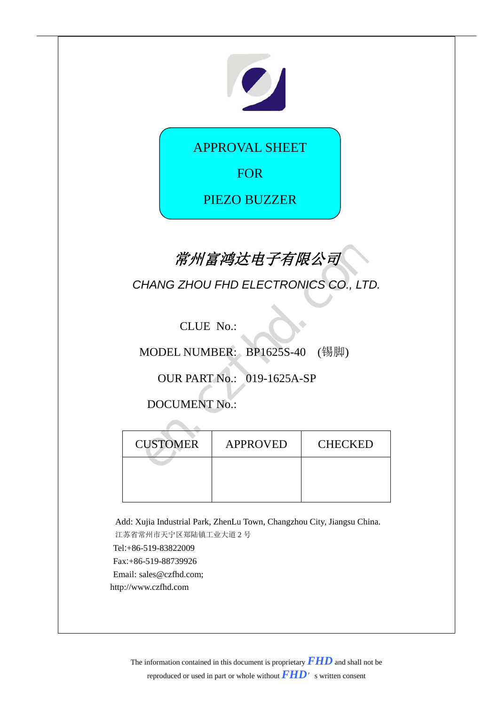# 

APPROVAL SHEET

FOR

PIEZO BUZZER

# 常州富鸿达电子有限公司

|                 | 常州富鸿达电子有限公司                          |                |  |
|-----------------|--------------------------------------|----------------|--|
|                 | CHANG ZHOU FHD ELECTRONICS CO., LTD. |                |  |
| CLUE No.:       |                                      |                |  |
|                 | MODEL NUMBER: BP1625S-40 (锡脚)        |                |  |
|                 | <b>OUR PART No.: 019-1625A-SP</b>    |                |  |
|                 | <b>DOCUMENT No.:</b>                 |                |  |
|                 |                                      |                |  |
| <b>CUSTOMER</b> | <b>APPROVED</b>                      | <b>CHECKED</b> |  |
|                 |                                      |                |  |
|                 |                                      |                |  |

Add: Xujia Industrial Park, ZhenLu Town, Changzhou City, Jiangsu China. 江苏省常州市天宁区郑陆镇工业大道 2 号 Tel:+86-519-83822009 Fax:+86-519-88739926 Email: sales@czfhd.com; http://www.czfhd.com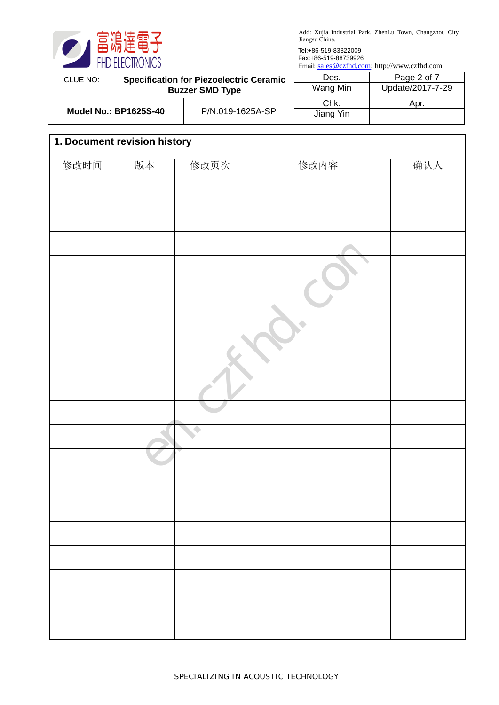

Tel:+86-519-83822009 Fax:+86-519-88739926

Email: [sales@czfhd.com;](mailto:sales@czfhd.com) http://www.czfhd.com

| CLUE NO:                     |                        | <b>Specification for Piezoelectric Ceramic</b> | Des.      | Page 2 of 7      |
|------------------------------|------------------------|------------------------------------------------|-----------|------------------|
|                              | <b>Buzzer SMD Type</b> |                                                | Wang Min  | Update/2017-7-29 |
| <b>Model No.: BP1625S-40</b> |                        |                                                | Chk.      | Apr.             |
|                              |                        | P/N:019-1625A-SP                               | Jiang Yin |                  |

| 1. Document revision history |    |           |      |     |
|------------------------------|----|-----------|------|-----|
| 修改时间                         | 版本 | 修改页次      | 修改内容 | 确认人 |
|                              |    |           |      |     |
|                              |    |           |      |     |
|                              |    |           |      |     |
|                              |    |           |      |     |
|                              |    |           |      |     |
|                              |    |           |      |     |
|                              |    |           |      |     |
|                              |    |           |      |     |
|                              |    |           |      |     |
|                              |    |           |      |     |
|                              |    |           |      |     |
|                              |    |           |      |     |
|                              |    |           |      |     |
|                              |    |           |      |     |
|                              |    |           |      |     |
|                              |    |           |      |     |
|                              |    | $\bullet$ |      |     |
|                              |    |           |      |     |
|                              |    |           |      |     |
|                              |    |           |      |     |
|                              |    |           |      |     |
|                              |    |           |      |     |
|                              |    |           |      |     |
|                              |    |           |      |     |
|                              |    |           |      |     |
|                              |    |           |      |     |
|                              |    |           |      |     |
|                              |    |           |      |     |
|                              |    |           |      |     |
|                              |    |           |      |     |
|                              |    |           |      |     |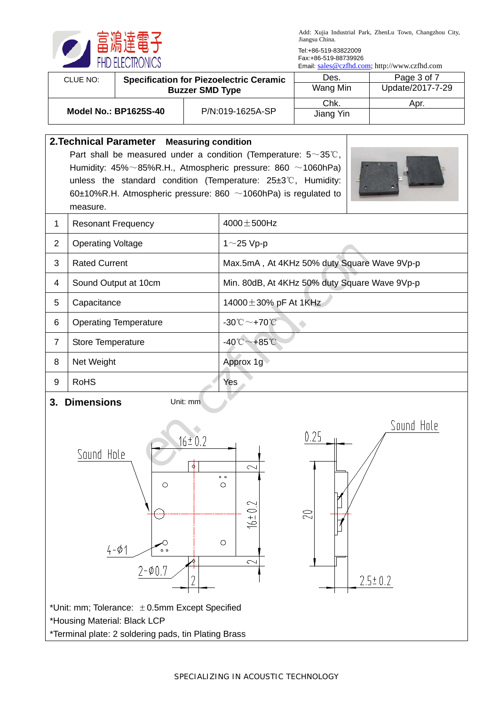

Tel:+86-519-83822009 Fax:+86-519-88739926

Email: [sales@czfhd.com;](mailto:sales@czfhd.com) http://www.czfhd.com

 $2.5 \pm 0.2$ 

| CLUE NO: | <b>Specification for Piezoelectric Ceramic</b> |                  | Des.              | Page 3 of 7      |
|----------|------------------------------------------------|------------------|-------------------|------------------|
|          | <b>Buzzer SMD Type</b>                         |                  | Wang Min          | Update/2017-7-29 |
|          | <b>Model No.: BP1625S-40</b>                   | P/N:019-1625A-SP | Chk.<br>Jiang Yin | Apr.             |

|                  | 2. Technical Parameter Measuring condition                                                                                                       |                                                                                                               |  |  |  |
|------------------|--------------------------------------------------------------------------------------------------------------------------------------------------|---------------------------------------------------------------------------------------------------------------|--|--|--|
|                  | Part shall be measured under a condition (Temperature: $5 \sim 35^{\circ}$ C,                                                                    |                                                                                                               |  |  |  |
|                  | Humidity: $45\% \sim 85\%$ R.H., Atmospheric pressure: 860 $\sim$ 1060hPa)                                                                       |                                                                                                               |  |  |  |
|                  | unless the standard condition (Temperature: $25\pm3\degree$ C, Humidity:<br>60±10%R.H. Atmospheric pressure: 860 $\sim$ 1060hPa) is regulated to |                                                                                                               |  |  |  |
|                  | measure.                                                                                                                                         |                                                                                                               |  |  |  |
| 1                | <b>Resonant Frequency</b>                                                                                                                        | $4000 \pm 500$ Hz                                                                                             |  |  |  |
| 2                | <b>Operating Voltage</b>                                                                                                                         | $1~25$ Vp-p                                                                                                   |  |  |  |
| 3                | <b>Rated Current</b>                                                                                                                             | Max.5mA, At 4KHz 50% duty Square Wave 9Vp-p                                                                   |  |  |  |
| $\overline{4}$   | Sound Output at 10cm                                                                                                                             | Min. 80dB, At 4KHz 50% duty Square Wave 9Vp-p                                                                 |  |  |  |
| $5\phantom{.0}$  | Capacitance                                                                                                                                      | 14000 $\pm$ 30% pF At 1KHz                                                                                    |  |  |  |
| 6                | <b>Operating Temperature</b>                                                                                                                     | $-30^{\circ}\text{C}\sim+70^{\circ}\text{C}$                                                                  |  |  |  |
| $\overline{7}$   | Store Temperature                                                                                                                                | -40 $^{\circ}$ C ~+85 $^{\circ}$ C                                                                            |  |  |  |
| 8                | Net Weight                                                                                                                                       | Approx 1g                                                                                                     |  |  |  |
| $\boldsymbol{9}$ | <b>RoHS</b>                                                                                                                                      | Yes                                                                                                           |  |  |  |
| 3.               | <b>Dimensions</b><br>Unit: mm                                                                                                                    |                                                                                                               |  |  |  |
|                  | $16 \pm 0.2$<br>Sound Hole<br>φ<br>$\circ$<br>$4 - 01$<br>$\circ$ $\circ$<br>$2 - 0.7$                                                           | Sound Hole<br>0.25<br>$\sim$<br>$\circ$ $\circ$<br>О<br>$\scriptstyle\sim$<br>20<br>$+9$<br>$\circ$<br>$\sim$ |  |  |  |
|                  | 2                                                                                                                                                | $2.5 \pm 0.2$                                                                                                 |  |  |  |

\*Unit: mm; Tolerance: ±0.5mm Except Specified \*Housing Material: Black LCP \*Terminal plate: 2 soldering pads, tin Plating Brass

SPECIALIZING IN ACOUSTIC TECHNOLOGY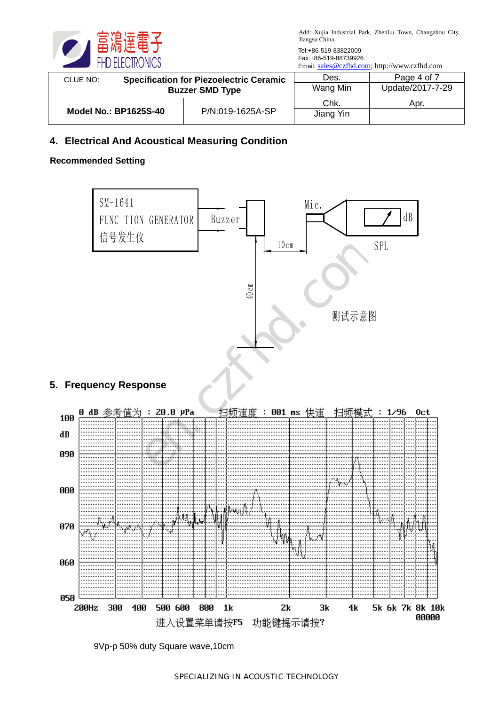

Tel:+86-519-83822009 Fax:+86-519-88739926

Email: [sales@czfhd.com;](mailto:sales@czfhd.com) http://www.czfhd.com

| CLUE NO:                     |                        | <b>Specification for Piezoelectric Ceramic</b> | Des.      | Page 4 of 7      |
|------------------------------|------------------------|------------------------------------------------|-----------|------------------|
|                              | <b>Buzzer SMD Type</b> |                                                | Wang Min  | Update/2017-7-29 |
| <b>Model No.: BP1625S-40</b> |                        | P/N:019-1625A-SP                               | Chk.      | Apr.             |
|                              |                        |                                                | Jiang Yin |                  |

#### **4. Electrical And Acoustical Measuring Condition**

#### **Recommended Setting**



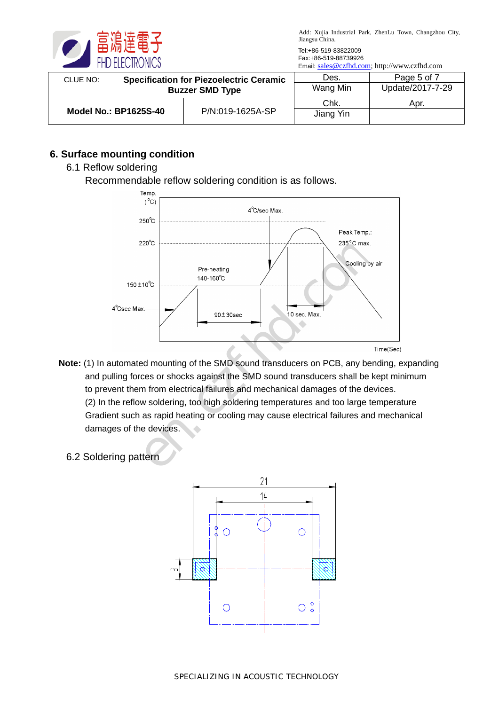

Tel:+86-519-83822009 Fax:+86-519-88739926

Email: [sales@czfhd.com;](mailto:sales@czfhd.com) http://www.czfhd.com

| CLUE NO: | <b>Specification for Piezoelectric Ceramic</b> |                  | Des.              | Page 5 of 7      |
|----------|------------------------------------------------|------------------|-------------------|------------------|
|          | <b>Buzzer SMD Type</b>                         |                  | Wang Min          | Update/2017-7-29 |
|          | <b>Model No.: BP1625S-40</b>                   | P/N:019-1625A-SP | Chk.<br>Jiang Yin | Apr.             |

## **6. Surface mounting condition**

#### 6.1 Reflow soldering

Recommendable reflow soldering condition is as follows.



- **Note:** (1) In automated mounting of the SMD sound transducers on PCB, any bending, expanding and pulling forces or shocks against the SMD sound transducers shall be kept minimum to prevent them from electrical failures and mechanical damages of the devices. (2) In the reflow soldering, too high soldering temperatures and too large temperature Gradient such as rapid heating or cooling may cause electrical failures and mechanical damages of the devices.
	- 6.2 Soldering pattern

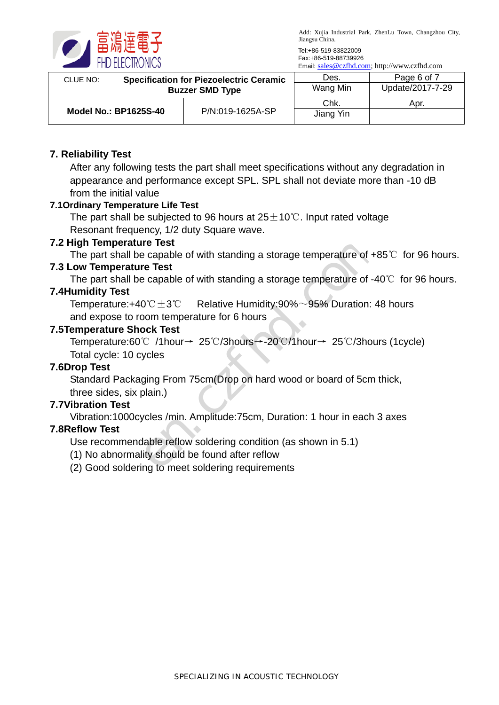

Tel:+86-519-83822009 Fax:+86-519-88739926

Email: [sales@czfhd.com;](mailto:sales@czfhd.com) http://www.czfhd.com

| CLUE NO: | <b>Specification for Piezoelectric Ceramic</b> |                  | Des.              | Page 6 of 7      |
|----------|------------------------------------------------|------------------|-------------------|------------------|
|          | <b>Buzzer SMD Type</b>                         |                  | Wang Min          | Update/2017-7-29 |
|          | <b>Model No.: BP1625S-40</b>                   | P/N:019-1625A-SP | Chk.<br>Jiang Yin | Apr.             |

#### **7. Reliability Test**

After any following tests the part shall meet specifications without any degradation in appearance and performance except SPL. SPL shall not deviate more than -10 dB from the initial value

#### **7.1Ordinary Temperature Life Test**

The part shall be subjected to 96 hours at  $25 \pm 10^{\circ}$ . Input rated voltage Resonant frequency, 1/2 duty Square wave.

#### **7.2 High Temperature Test**

The part shall be capable of with standing a storage temperature of +85℃ for 96 hours.

#### **7.3 Low Temperature Test**

The part shall be capable of with standing a storage temperature of -40℃ for 96 hours.

#### **7.4Humidity Test**

Temperature:+40℃ $\pm$ 3℃ Relative Humidity:90% $\sim$ 95% Duration: 48 hours and expose to room temperature for 6 hours

#### **7.5Temperature Shock Test**

Temperature:60℃ /1hour→ 25℃/3hours→-20℃/1hour→ 25℃/3hours (1cycle) Total cycle: 10 cycles ncy, 1/2 duty Square wave.<br> **re Test**<br>
capable of with standing a storage temperature of +88<br>
capable of with standing a storage temperature of -40<br>
0°C±3℃ Relative Humidity:90%~95% Duration: 48<br>
oom temperature for 6 hou

#### **7.6Drop Test**

Standard Packaging From 75cm(Drop on hard wood or board of 5cm thick,

three sides, six plain.)

# **7.7Vibration Test**

Vibration:1000cycles /min. Amplitude:75cm, Duration: 1 hour in each 3 axes

#### **7.8Reflow Test**

Use recommendable reflow soldering condition (as shown in 5.1)

(1) No abnormality should be found after reflow

(2) Good soldering to meet soldering requirements